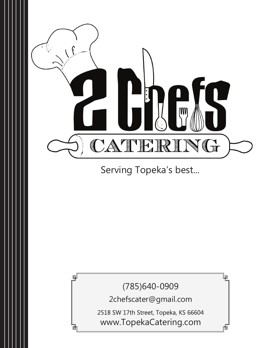

Serving Topeka's best...

(785)640-0909

峘

間

剛

2chefscater@gmail.com

2518 SW 17th Street, Topeka, KS 66604 www.TopekaCatering.com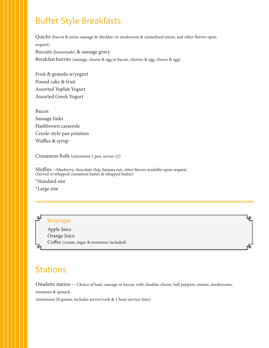## Buffet Style Breakfasts

Quiche (bacon & swiss; sausage & cheddar; or mushroom & carmelized onion, and other flavors upon request) Biscuits (homemade) & sausage gravy Breakfast burrito (sausage, cheese & egg or bacon, chorizo & egg, cheese & egg)

Fruit & granola w/yogurt Pound cake & fruit Assorted Yoplait Yogurt Assorted Greek Yogurt

Bacon Sausage links Hashbrown casserole Creole-style pan potatoes Waffles & syrup

Cinnamon Rolls (minimum 1 pan, serves 12)

Muffins --blueberry, chocolate chip, banana nut, other flavors available upon request. (Served w/whipped cinnamon butter & whipped butter)

\*Standard size

\*Large size



Apple Juice Orange Juice Coffee (cream, sugar & sweetener included)

## Stations

Omelette station -- Choice of ham, sausage or bacon, with cheddar cheese, bell peppers, onions, mushrooms,

ھا

tomatoes & spinach.

(minimum 20 guests, includes server/cook & 1 hour service time)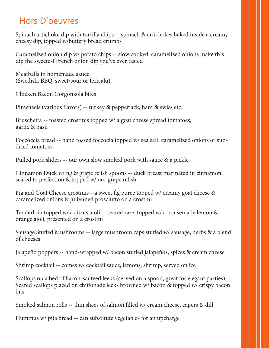# Hors D'oeuvres

Spinach artichoke dip with tortilla chips -- spinach & artichokes baked inside a creamy cheesy dip, topped w/buttery bread crumbs

Caramelized onion dip w/ potato chips -- slow cooked, caramelized onions make this dip the sweetest French onion dip you've ever tasted

Meatballs in homemade sauce (Swedish, BBQ, sweet/sour or teriyaki)

Chicken Bacon Gorgonzola bites

Pinwheels (various flavors) -- turkey & pepperjack, ham & swiss etc.

Bruschetta -- toasted crostinis topped w/ a goat cheese spread tomatoes, garlic & basil

Foccoccia bread -- hand tossed foccocia topped w/ sea salt, caramelized onions or sundried tomatoes

Pulled pork sliders -- our own slow smoked pork with sauce & a pickle

Cinnamon Duck w/ fig & grape relish spoons -- duck breast marinated in cinnamon, seared to perfection & topped w/ our grape relish

Fig and Goat Cheese crostinis --a sweet fig puree topped w/ creamy goat cheese & caramelized onions & julienned prosciutto on a crostini

Tenderloin topped w/ a citrus aioli -- seared rare, topped w/ a housemade lemon & orange aioli, presented on a crostini

Sausage Stuffed Mushrooms -- large mushroom caps stuffed w/ sausage, herbs & a blend of cheeses

Jalapeño poppers -- hand-wrapped w/ bacon stuffed jalapeños, spices & cream cheese

Shrimp cocktail -- comes w/ cocktail sauce, lemons, shrimp, served on ice

Scallops on a bed of bacon-sauteed leeks (served on a spoon, great for elegant parties) -- Seared scallops placed on chiffonade leeks browned w/ bacon & topped w/ crispy bacon bits

Smoked salmon rolls -- thin slices of salmon filled w/ cream cheese, capers & dill

Hummus w/ pita bread -- can substitute vegetables for an upcharge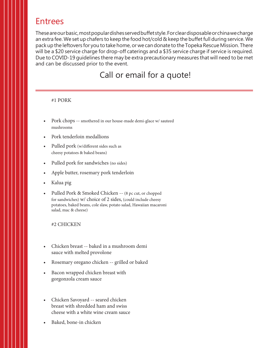## Entrees

These are our basic, most popular dishes served buffet style. For clear disposable or china we charge an extra fee. We set up chafers to keep the food hot/cold & keep the buffet full during service. We pack up the leftovers for you to take home, or we can donate to the Topeka Rescue Mission. There will be a \$20 service charge for drop-off caterings and a \$35 service charge if service is required. Due to COVID-19 guidelines there may be extra precautionary measures that will need to be met and can be discussed prior to the event.

## Call or email for a quote!

#### #1 PORK

- Pork chops -- smothered in our house-made demi-glace w/ sauteed mushrooms
- Pork tenderloin medallions
- Pulled pork (w/different sides such as cheesy potatoes & baked beans)
- Pulled pork for sandwiches (no sides)
- Apple butter, rosemary pork tenderloin
- Kalua pig
- Pulled Pork & Smoked Chicken -- (8 pc cut, or chopped for sandwiches) w/ choice of 2 sides, (could include cheesy potatoes, baked beans, cole slaw, potato salad, Hawaiian macaroni salad, mac & cheese)

#### #2 CHICKEN

- Chicken breast -- baked in a mushroom demi sauce with melted provolone
- Rosemary oregano chicken -- grilled or baked
- Bacon wrapped chicken breast with gorgonzola cream sauce
- Chicken Savoyard -- seared chicken breast with shredded ham and swiss cheese with a white wine cream sauce
- Baked, bone-in chicken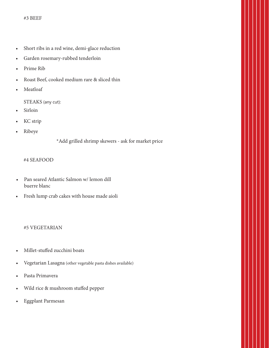- Short ribs in a red wine, demi-glace reduction
- Garden rosemary-rubbed tenderloin
- Prime Rib
- Roast Beef, cooked medium rare & sliced thin
- **Meatloaf**

STEAKS (any cut):

- **Sirloin**
- KC strip
- Ribeye

\*Add grilled shrimp skewers - ask for market price

#### #4 SEAFOOD

- Pan seared Atlantic Salmon w/ lemon dill buerre blanc
- Fresh lump crab cakes with house made aioli

#### #5 VEGETARIAN

- Millet-stuffed zucchini boats
- Vegetarian Lasagna (other vegetable pasta dishes available)
- Pasta Primavera
- Wild rice & mushroom stuffed pepper
- Eggplant Parmesan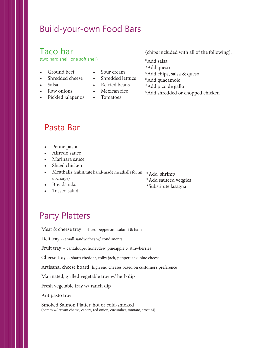## Build-your-own Food Bars

## Taco bar

(two hard shell, one soft shell)

- Ground beef
- Shredded cheese
- Sour cream • Shredded lettuce
- 
- Salsa • Raw onions
- Pickled jalapeños
- Refried beans
- Mexican rice
- Tomatoes

(chips included with all of the following):

- \*Add salsa
- \*Add queso
- \*Add chips, salsa & queso
- \*Add guacamole
- \*Add pico de gallo
- \*Add shredded or chopped chicken

### Pasta Bar

- Penne pasta
- Alfredo sauce
- Marinara sauce
- Sliced chicken
- Meatballs (substitute hand-made meatballs for an \*Add shrimp upcharge)
- **Breadsticks**
- Tossed salad

\*Add sauteed veggies \*Substitute lasagna

# Party Platters

Meat & cheese tray -- sliced pepperoni, salami & ham

Deli tray -- small sandwiches w/ condiments

Fruit tray -- cantaloupe, honeydew, pineapple & strawberries

Cheese tray -- sharp cheddar, colby jack, pepper jack, blue cheese

Artisanal cheese board (high end cheeses based on customer's preference)

Marinated, grilled vegetable tray w/ herb dip

Fresh vegetable tray w/ ranch dip

Antipasto tray

Smoked Salmon Platter, hot or cold-smoked (comes w/ cream cheese, capers, red onion, cucumber, tomtato, crostini)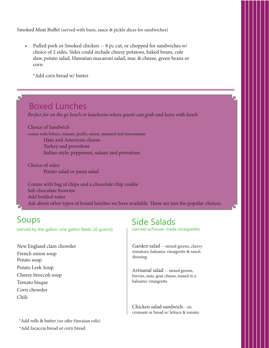Smoked Meat Buffet (served with buns, sauce & pickle slices for sandwiches)

• Pulled pork or Smoked chicken -- 8 pc cut, or chopped for sandwiches w/ choice of 2 sides. Sides could include cheesy potatoes, baked beans, cole slaw, potato salad, Hawaiian macaroni salad, mac & cheese, green beans or corn

\*Add corn bread w/ butter

## Boxed Lunches

*Perfect for on the go lunch or luncheons where guests can grab and leave with lunch*

Choice of Sandwich comes with lettuce, tomato, pickle, onion, mustard and mayonnaise Ham and American cheese Turkey and provolone Italian-style: pepperoni, salami and provolone

Choice of sides Potato salad or pasta salad

Comes with bag of chips and a chocolate chip cookie Sub chocolate brownie Add bottled water Ask about other types of boxed lunches we have available. These are just the popular choices.

## Soups

 $\blacksquare$ 

(served by the gallon, one gallon feeds 10 guests)

New England clam chowder French onion soup Potato soup Potato Leek Soup Cheesy broccoli soup Tomato bisque Corn chowder Chili

Side Salads

(served w/house-made vinaigrette)

بها

Garden salad -- mixed greens, cherry tomatoes, balsamic vinaigrette & ranch dressing

Artisanal salad -- mixed greens, berries, nuts, goat cheese, tossed in a balsamic vinaigrette

Chicken salad sandwich-- on croissant or bread w/ lettuce & tomato

\*Add rolls & butter (we offer Hawaiian rolls) \*Add focaccia bread or corn bread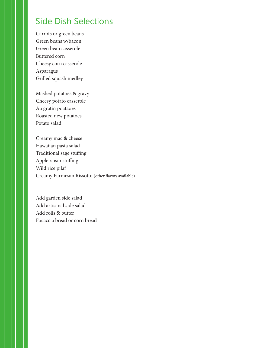## Side Dish Selections

Carrots or green beans Green beans w/bacon Green bean casserole Buttered corn Cheesy corn casserole Asparagus Grilled squash medley

Mashed potatoes & gravy Cheesy potato casserole Au gratin poataoes Roasted new potatoes Potato salad

Creamy mac & cheese Hawaiian pasta salad Traditional sage stuffing Apple raisin stuffing Wild rice pilaf Creamy Parmesan Rissotto (other flavors available)

Add garden side salad Add artisanal side salad Add rolls & butter Focaccia bread or corn bread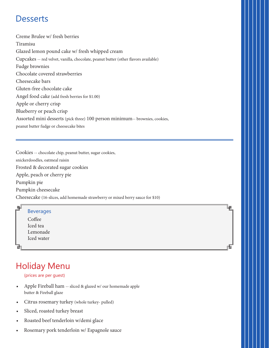## **Desserts**

Creme Brulee w/ fresh berries Tiramisu Glazed lemon pound cake w/ fresh whipped cream Cupcakes -- red velvet, vanilla, chocolate, peanut butter (other flavors available) Fudge brownies Chocolate covered strawberries Cheesecake bars Gluten-free chocolate cake Angel food cake (add fresh berries for \$1.00) Apple or cherry crisp Blueberry or peach crisp Assorted mini desserts (pick three) 100 person minimum-- brownies, cookies, peanut butter fudge or cheesecake bites

Cookies -- chocolate chip, peanut butter, sugar cookies,

snickerdoodles, oatmeal raisin

Frosted & decorated sugar cookies

Apple, peach or cherry pie

Pumpkin pie

Pumpkin cheesecake

Cheesecake (16-slices, add homemade strawberry or mixed berry sauce for \$10)



曲

# Holiday Menu

#### (prices are per guest)

- Apple Fireball ham -- sliced & glazed w/ our homemade apple butter & Fireball glaze
- Citrus rosemary turkey (whole turkey- pulled)
- Sliced, roasted turkey breast
- Roasted beef tenderloin w/demi glace
- Rosemary pork tenderloin w/ Espagnole sauce